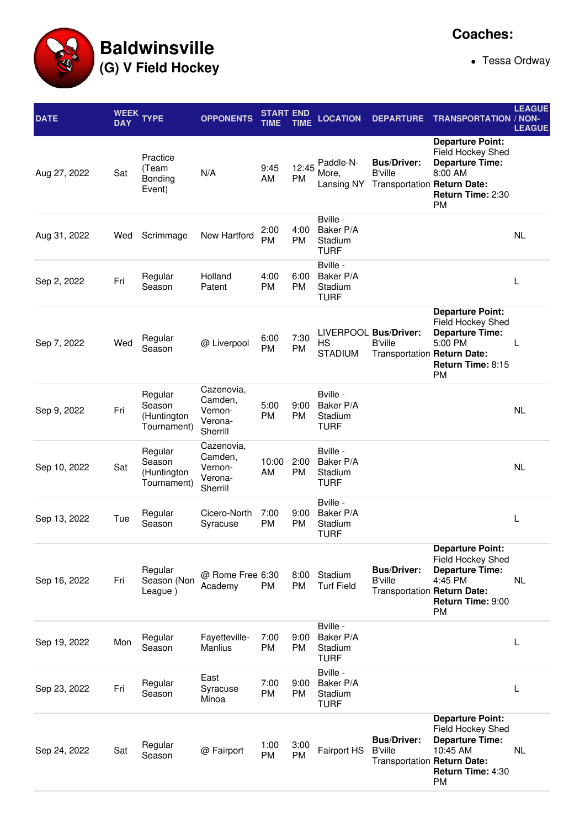

• Tessa Ordway

| <b>DATE</b>  | <b>DAY</b> | WEEK TYPE                                       | <b>OPPONENTS</b>                                        | <b>START END</b><br>TIME | TIME               | <b>LOCATION</b>                                 | <b>DEPARTURE</b>                                                       | <b>TRANSPORTATION / NON-</b>                                                                                               | <b>LEAGUE</b><br><b>LEAGUE</b> |
|--------------|------------|-------------------------------------------------|---------------------------------------------------------|--------------------------|--------------------|-------------------------------------------------|------------------------------------------------------------------------|----------------------------------------------------------------------------------------------------------------------------|--------------------------------|
| Aug 27, 2022 | Sat        | Practice<br>(Team<br><b>Bonding</b><br>Event)   | N/A                                                     | 9:45<br>AM               | 12:45<br><b>PM</b> | Paddle-N-<br>More,<br>Lansing NY                | <b>Bus/Driver:</b><br><b>B'ville</b><br>Transportation Return Date:    | <b>Departure Point:</b><br>Field Hockey Shed<br><b>Departure Time:</b><br>8:00 AM<br><b>Return Time: 2:30</b><br>PM        |                                |
| Aug 31, 2022 | Wed        | Scrimmage                                       | New Hartford                                            | 2:00<br><b>PM</b>        | 4:00<br>PM         | Bville -<br>Baker P/A<br>Stadium<br><b>TURF</b> |                                                                        |                                                                                                                            | <b>NL</b>                      |
| Sep 2, 2022  | Fri        | Regular<br>Season                               | Holland<br>Patent                                       | 4:00<br><b>PM</b>        | 6:00<br>PM         | Bville -<br>Baker P/A<br>Stadium<br><b>TURF</b> |                                                                        |                                                                                                                            | L                              |
| Sep 7, 2022  | Wed        | Regular<br>Season                               | @ Liverpool                                             | 6:00<br><b>PM</b>        | 7:30<br>PM         | <b>HS</b><br><b>STADIUM</b>                     | LIVERPOOL Bus/Driver:<br><b>B'ville</b><br>Transportation Return Date: | <b>Departure Point:</b><br><b>Field Hockey Shed</b><br><b>Departure Time:</b><br>5:00 PM<br>Return Time: 8:15<br><b>PM</b> | L                              |
| Sep 9, 2022  | Fri        | Regular<br>Season<br>(Huntington<br>Tournament) | Cazenovia,<br>Camden,<br>Vernon-<br>Verona-<br>Sherrill | 5:00<br>PM               | 9:00<br><b>PM</b>  | Bville -<br>Baker P/A<br>Stadium<br><b>TURF</b> |                                                                        |                                                                                                                            | <b>NL</b>                      |
| Sep 10, 2022 | Sat        | Regular<br>Season<br>(Huntington<br>Tournament) | Cazenovia,<br>Camden,<br>Vernon-<br>Verona-<br>Sherrill | 10:00<br>AM              | 2:00<br>PM         | Bville -<br>Baker P/A<br>Stadium<br><b>TURF</b> |                                                                        |                                                                                                                            | <b>NL</b>                      |
| Sep 13, 2022 | Tue        | Regular<br>Season                               | Cicero-North<br>Syracuse                                | 7:00<br><b>PM</b>        | 9:00<br><b>PM</b>  | Bville -<br>Baker P/A<br>Stadium<br><b>TURF</b> |                                                                        |                                                                                                                            | L                              |
| Sep 16, 2022 | Fri        | Regular<br>Season (Non<br>League)               | @ Rome Free 6:30<br>Academy                             | <b>PM</b>                | 8:00<br><b>PM</b>  | Stadium<br><b>Turf Field</b>                    | <b>Bus/Driver:</b><br><b>B'ville</b><br>Transportation Return Date:    | <b>Departure Point:</b><br>Field Hockey Shed<br><b>Departure Time:</b><br>4:45 PM<br><b>Return Time: 9:00</b><br>PM        | <b>NL</b>                      |
| Sep 19, 2022 | Mon        | Regular<br>Season                               | Fayetteville-<br>Manlius                                | 7:00<br>PM               | 9:00<br>PM         | Bville -<br>Baker P/A<br>Stadium<br><b>TURF</b> |                                                                        |                                                                                                                            | L                              |
| Sep 23, 2022 | Fri        | Regular<br>Season                               | East<br>Syracuse<br>Minoa                               | 7:00<br>PM               | 9:00<br>PM         | Bville -<br>Baker P/A<br>Stadium<br><b>TURF</b> |                                                                        |                                                                                                                            | L                              |
| Sep 24, 2022 | Sat        | Regular<br>Season                               | @ Fairport                                              | 1:00<br>PM               | 3:00<br>PM         | Fairport HS                                     | <b>Bus/Driver:</b><br><b>B'ville</b><br>Transportation Return Date:    | <b>Departure Point:</b><br>Field Hockey Shed<br><b>Departure Time:</b><br>10:45 AM<br>Return Time: 4:30<br>PM              | <b>NL</b>                      |